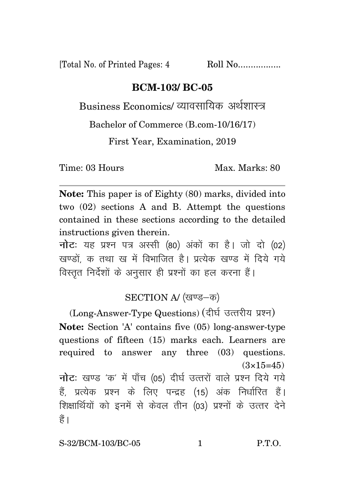[Total No. of Printed Pages: 4 Roll No.................

## **BCM-103/ BC-05**

Business Economics/ व्यावसायिक अर्थशास्त्र

Bachelor of Commerce (B.com-10/16/17)

First Year, Examination, 2019

Time: 03 Hours Max. Marks: 80

**Note:** This paper is of Eighty (80) marks, divided into two (02) sections A and B. Attempt the questions contained in these sections according to the detailed instructions given therein.

**नोट**: यह प्रश्न पत्र अस्सी (80) अंकों का है। जो दो (02) खण्डों, क तथा ख में विभाजित है। प्रत्येक खण्ड में दिये गये विस्तुत निर्देशों के अनुसार ही प्रश्नों का हल करना हैं।

## SECTION A/ (खण्ड-क)

(Long-Answer-Type Questions) (दीर्घ उत्तरीय प्रश्न) **Note:** Section 'A' contains five (05) long-answer-type questions of fifteen (15) marks each. Learners are required to answer any three (03) questions.  $(3\times15=45)$ **नोट:** खण्ड 'क' में पाँच (05) दीर्घ उत्तरों वाले प्रश्न दिये गये हैं, प्रत्येक प्रश्न के लिए पन्द्रह (15) अंक निर्धारित हैं। शिक्षार्थियों को इनमें से केवल तीन (03) प्रश्नों के उत्तर देने हैं ।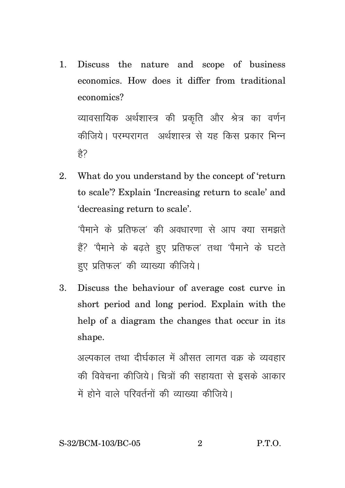1. Discuss the nature and scope of business economics. How does it differ from traditional economics? व्यावसायिक अर्थशास्त्र की प्रकृति और श्रेत्र का वर्णन

कीजिये। परम्परागत अर्थशास्त्र से यह किस प्रकार भिन्न हे?

2. What do you understand by the concept of 'return to scale'? Explain 'Increasing return to scale' and 'decreasing return to scale'.

 $^{\prime}$ पैमाने के पतिफल $^{\prime}$  की अवधारणा से आप क्या समझते हैं? 'पैमाने के बढते हुए प्रतिफल' तथा 'पैमाने के घटते हए प्रतिफल' की व्याख्या कीजिये।

3. Discuss the behaviour of average cost curve in short period and long period. Explain with the help of a diagram the changes that occur in its shape.

अल्पकाल तथा दीर्घकाल में औसत लागत वक के व्यवहार की विवेचना कीजिये। चित्रों की सहायता से इसके आकार में होने वाले परिवर्तनों की व्याख्या कीजिये।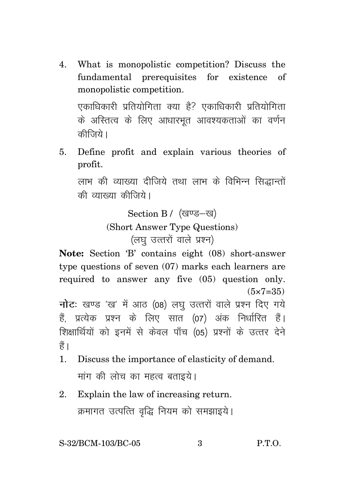4. What is monopolistic competition? Discuss the fundamental prerequisites for existence of monopolistic competition. एकाधिकारी प्रतियोगिता क्या है? एकाधिकारी प्रतियोगिता

के अस्तित्व के लिए आधारभत आवश्यकताओं का वर्णन कीज़िये।

5. Define profit and explain various theories of profit.

लाभ की व्याख्या दीजिये तथा लाभ के विभिन्न सिद्धान्तों की व्याख्या कीजिये।

Section B / (खण्ड-ख)

(Short Answer Type Questions)

(लघु उत्तरों वाले प्रश्न)

**Note:** Section 'B' contains eight (08) short-answer type questions of seven (07) marks each learners are required to answer any five (05) question only.  $(5 \times 7 = 35)$ 

**नोट**: खण्ड 'ख' में आठ (08) लघु उत्तरों वाले प्रश्न दिए गये हैं. प्रत्येक प्रश्न के लिए सात (07) अंक निर्धारित हैं। शिक्षार्थियों को इनमें से केवल पाँच (05) प्रश्नों के उत्तर देने हैं ।

- 1. Discuss the importance of elasticity of demand. मांग की लोच का महत्व बताइये।
- 2. Explain the law of increasing return. क्रमागत उत्पत्ति वृद्धि नियम को समझाइये।